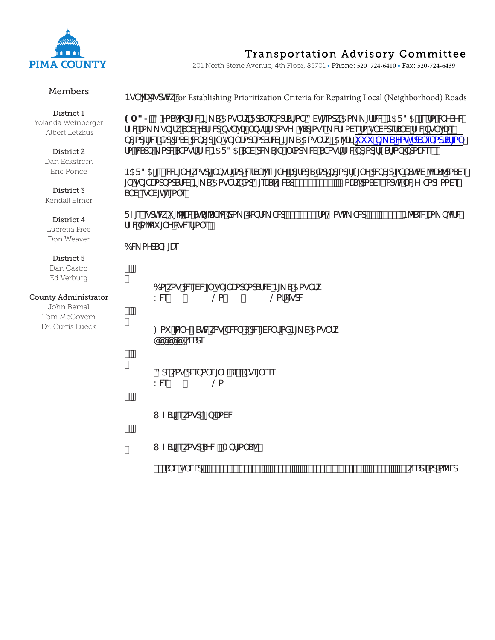

### Members

District 1 Yolanda Weinberger Albert Letzkus

> District 2 Dan Eckstrom Eric Ponce

District 3 Kendall Elmer

District 4 Lucretia Free Don Weaver

### District 5

Dan Castro Ed Verburg

### County Administrator

John Bernal Tom McGovern Dr. Curtis Lueck

# **Transportation Advisory Committee**

201 North Stone Avenue, 4th Floor, 85701 • Phone: 520-724-6410 • Fax: 520-724-6439

BgT'[UEgchWtfor Establishing Prioritization Criteria for Repairing Local (Neighborhood) Roads

**9A3>,** 3 YaS^aXYZWB[\_S5ag`fkFd5`ebadSf[a` 3Vh[eack5a\_ \_ [ffWWB5F35fi[efa WYSYV fZWLa\_g`[fkS`VYSfZWdbgT'|U|`bgffZdagYZhSdage\_WZaVefag`WdefS`VfZWbgT'|Ue bdadf[\\XddaSVdM\S[d[`g`[`ladxadSfWB[\_S5ag`fkž5'|U i i i  $\frac{1}{2}$ ] SzYahlfdS`ebadSf[a` fa VSd \_ adVSTagffZVB5F35 S VdV\_S[` [`Xad\_WSTagffZVbdadf[ISf[a` bdaU&bez

B5F35 [eeW]\`Ykagd[`bgfXdd\dST\[eZ|`YU{f\dJSXdbdadf[l] [`Yd\loS|daXbShW^aUS^daS\e [`g`[`ladadSfWB[\_S5ag`fkXd8[dS^K\NdS'S'!S'S#z>alS^daSVeeNthWVWZTadZaaVe S VegTVhea ež

FZ[eegdtMki [<sup>^</sup>TVShS['ST'VKda\_ EMofV\_YTMd#(1 S' #+ fa @ahV\_YTMd#\*1 S' #+ ž B'VSeVKa b'MWV fZWXa<sup>n</sup>ai [`YcgWfa`e,

6W aYdbZ[Ue

 $#Z$ 

|    | 6a kag do W g` [` Uadbad Sf W B [_ S 5ag` fk 1 |          |
|----|------------------------------------------------|----------|
| KW | $(\omega)$                                     | @af EgdW |

Sž

: ai 'a` YZShWkag TWVS dAngWYf aXB[ S5ag`fk1 **COOCOO** kWate

 $\frac{95}{6}$ 

3dWkag dMdba`V|`YSeSTge|`Well KW @a

8ž

I ZSf [ekagdl [b UaWV

 $\tilde{z}$ 

I ZSf [ekagdSYW/Abf[a` SYff

 $\# S V g W d \# X s$   $\# S Z x$   $\# S Z x$   $\# Z x$   $\# Z x$   $\# Z x$   $\# Z x$   $\# Z x$   $\# Z x$   $\# Z x$   $\# Z x$